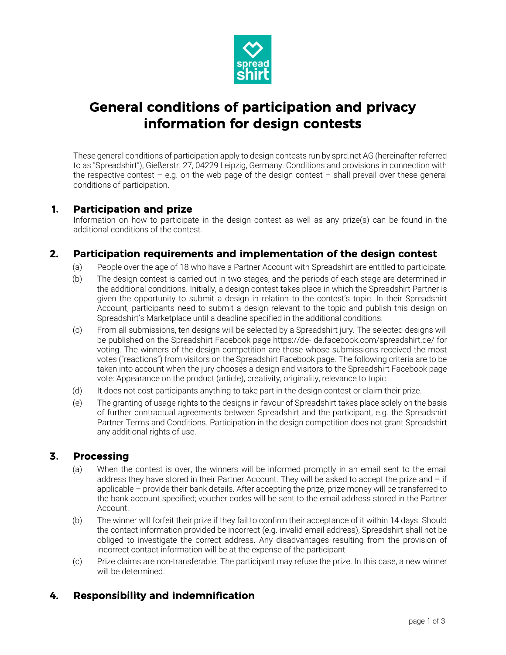

# General conditions of participation and privacy information for design contests

These general conditions of participation apply to design contests run by sprd.net AG (hereinafter referred to as "Spreadshirt"), Gießerstr. 27, 04229 Leipzig, Germany. Conditions and provisions in connection with the respective contest – e.g. on the web page of the design contest – shall prevail over these general conditions of participation.

#### 1. Participation and prize

Information on how to participate in the design contest as well as any prize(s) can be found in the additional conditions of the contest.

## 2. Participation requirements and implementation of the design contest

- (a) People over the age of 18 who have a Partner Account with Spreadshirt are entitled to participate.
- (b) The design contest is carried out in two stages, and the periods of each stage are determined in the additional conditions. Initially, a design contest takes place in which the Spreadshirt Partner is given the opportunity to submit a design in relation to the contest's topic. In their Spreadshirt Account, participants need to submit a design relevant to the topic and publish this design on Spreadshirt's Marketplace until a deadline specified in the additional conditions.
- (c) From all submissions, ten designs will be selected by a Spreadshirt jury. The selected designs will be published on the Spreadshirt Facebook page https://de- de.facebook.com/spreadshirt.de/ for voting. The winners of the design competition are those whose submissions received the most votes ("reactions") from visitors on the Spreadshirt Facebook page. The following criteria are to be taken into account when the jury chooses a design and visitors to the Spreadshirt Facebook page vote: Appearance on the product (article), creativity, originality, relevance to topic.
- (d) It does not cost participants anything to take part in the design contest or claim their prize.
- (e) The granting of usage rights to the designs in favour of Spreadshirt takes place solely on the basis of further contractual agreements between Spreadshirt and the participant, e.g. the Spreadshirt Partner Terms and Conditions. Participation in the design competition does not grant Spreadshirt any additional rights of use.

#### 3. Processing

- (a) When the contest is over, the winners will be informed promptly in an email sent to the email address they have stored in their Partner Account. They will be asked to accept the prize and  $-$  if applicable – provide their bank details. After accepting the prize, prize money will be transferred to the bank account specified; voucher codes will be sent to the email address stored in the Partner Account.
- (b) The winner will forfeit their prize if they fail to confirm their acceptance of it within 14 days. Should the contact information provided be incorrect (e.g. invalid email address), Spreadshirt shall not be obliged to investigate the correct address. Any disadvantages resulting from the provision of incorrect contact information will be at the expense of the participant.
- (c) Prize claims are non-transferable. The participant may refuse the prize. In this case, a new winner will be determined.

## 4. Responsibility and indemnification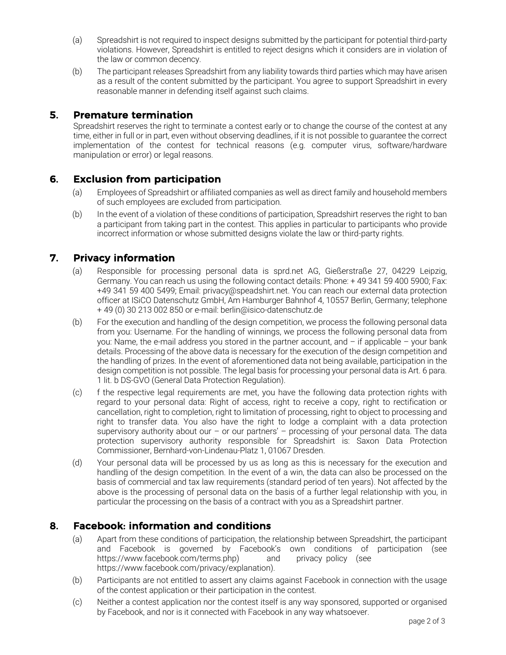- (a) Spreadshirt is not required to inspect designs submitted by the participant for potential third-party violations. However, Spreadshirt is entitled to reject designs which it considers are in violation of the law or common decency.
- (b) The participant releases Spreadshirt from any liability towards third parties which may have arisen as a result of the content submitted by the participant. You agree to support Spreadshirt in every reasonable manner in defending itself against such claims.

#### 5. Premature termination

Spreadshirt reserves the right to terminate a contest early or to change the course of the contest at any time, either in full or in part, even without observing deadlines, if it is not possible to guarantee the correct implementation of the contest for technical reasons (e.g. computer virus, software/hardware manipulation or error) or legal reasons.

#### 6. Exclusion from participation

- (a) Employees of Spreadshirt or affiliated companies as well as direct family and household members of such employees are excluded from participation.
- (b) In the event of a violation of these conditions of participation, Spreadshirt reserves the right to ban a participant from taking part in the contest. This applies in particular to participants who provide incorrect information or whose submitted designs violate the law or third-party rights.

## 7. Privacy information

- (a) Responsible for processing personal data is sprd.net AG, Gießerstraße 27, 04229 Leipzig, Germany. You can reach us using the following contact details: Phone: + 49 341 59 400 5900; Fax: +49 341 59 400 5499; Email: privacy@speadshirt.net. You can reach our external data protection officer at ISiCO Datenschutz GmbH, Am Hamburger Bahnhof 4, 10557 Berlin, Germany; telephone + 49 (0) 30 213 002 850 or e-mail: berlin@isico-datenschutz.de
- (b) For the execution and handling of the design competition, we process the following personal data from you: Username. For the handling of winnings, we process the following personal data from you: Name, the e-mail address you stored in the partner account, and – if applicable – your bank details. Processing of the above data is necessary for the execution of the design competition and the handling of prizes. In the event of aforementioned data not being available, participation in the design competition is not possible. The legal basis for processing your personal data is Art. 6 para. 1 lit. b DS-GVO (General Data Protection Regulation).
- (c) f the respective legal requirements are met, you have the following data protection rights with regard to your personal data: Right of access, right to receive a copy, right to rectification or cancellation, right to completion, right to limitation of processing, right to object to processing and right to transfer data. You also have the right to lodge a complaint with a data protection supervisory authority about our – or our partners' – processing of your personal data. The data protection supervisory authority responsible for Spreadshirt is: Saxon Data Protection Commissioner, Bernhard-von-Lindenau-Platz 1, 01067 Dresden.
- (d) Your personal data will be processed by us as long as this is necessary for the execution and handling of the design competition. In the event of a win, the data can also be processed on the basis of commercial and tax law requirements (standard period of ten years). Not affected by the above is the processing of personal data on the basis of a further legal relationship with you, in particular the processing on the basis of a contract with you as a Spreadshirt partner.

### 8. Facebook: information and conditions

- (a) Apart from these conditions of participation, the relationship between Spreadshirt, the participant and Facebook is governed by Facebook's own conditions of participation (see https://www.facebook.com/terms.php) and privacy policy (see https://www.facebook.com/privacy/explanation).
- (b) Participants are not entitled to assert any claims against Facebook in connection with the usage of the contest application or their participation in the contest.
- (c) Neither a contest application nor the contest itself is any way sponsored, supported or organised by Facebook, and nor is it connected with Facebook in any way whatsoever.